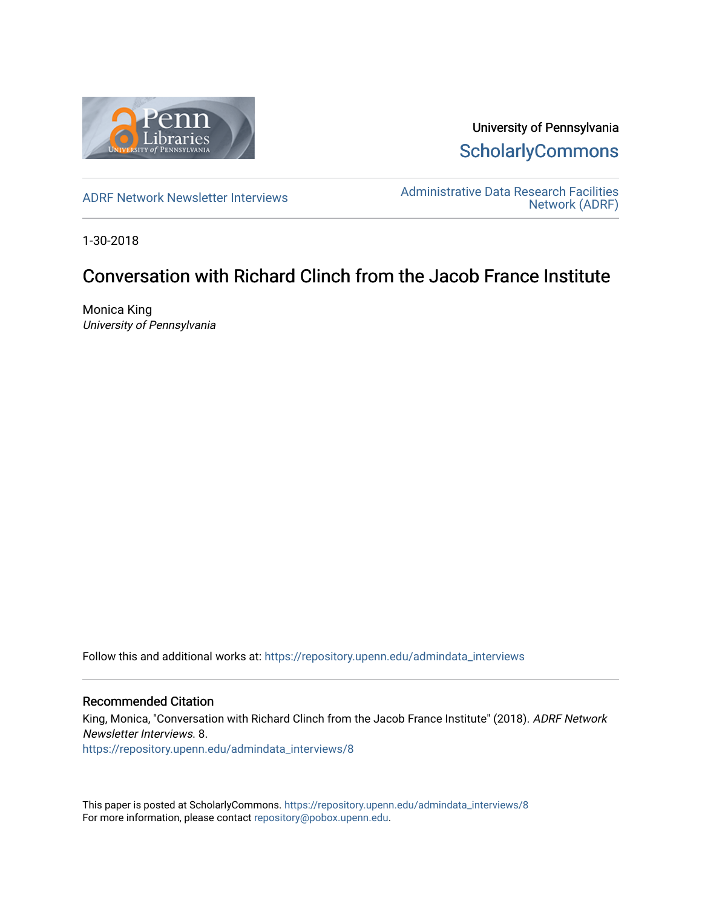

University of Pennsylvania **ScholarlyCommons** 

[ADRF Network Newsletter Interviews](https://repository.upenn.edu/admindata_interviews) [Administrative Data Research Facilities](https://repository.upenn.edu/admindata)  [Network \(ADRF\)](https://repository.upenn.edu/admindata) 

1-30-2018

# Conversation with Richard Clinch from the Jacob France Institute

Monica King University of Pennsylvania

Follow this and additional works at: [https://repository.upenn.edu/admindata\\_interviews](https://repository.upenn.edu/admindata_interviews?utm_source=repository.upenn.edu%2Fadmindata_interviews%2F8&utm_medium=PDF&utm_campaign=PDFCoverPages) 

#### Recommended Citation

King, Monica, "Conversation with Richard Clinch from the Jacob France Institute" (2018). ADRF Network Newsletter Interviews. 8.

[https://repository.upenn.edu/admindata\\_interviews/8](https://repository.upenn.edu/admindata_interviews/8?utm_source=repository.upenn.edu%2Fadmindata_interviews%2F8&utm_medium=PDF&utm_campaign=PDFCoverPages) 

This paper is posted at ScholarlyCommons. [https://repository.upenn.edu/admindata\\_interviews/8](https://repository.upenn.edu/admindata_interviews/8) For more information, please contact [repository@pobox.upenn.edu.](mailto:repository@pobox.upenn.edu)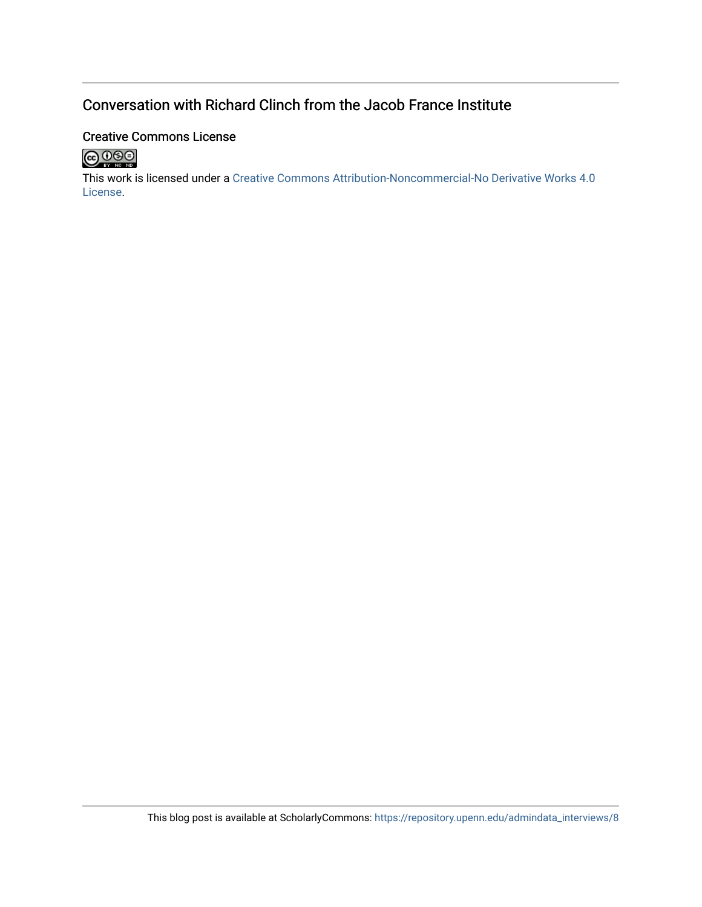## Conversation with Richard Clinch from the Jacob France Institute

## Creative Commons License



This work is licensed under a [Creative Commons Attribution-Noncommercial-No Derivative Works 4.0](http://creativecommons.org/licenses/by-nc-nd/4.0/) [License](http://creativecommons.org/licenses/by-nc-nd/4.0/).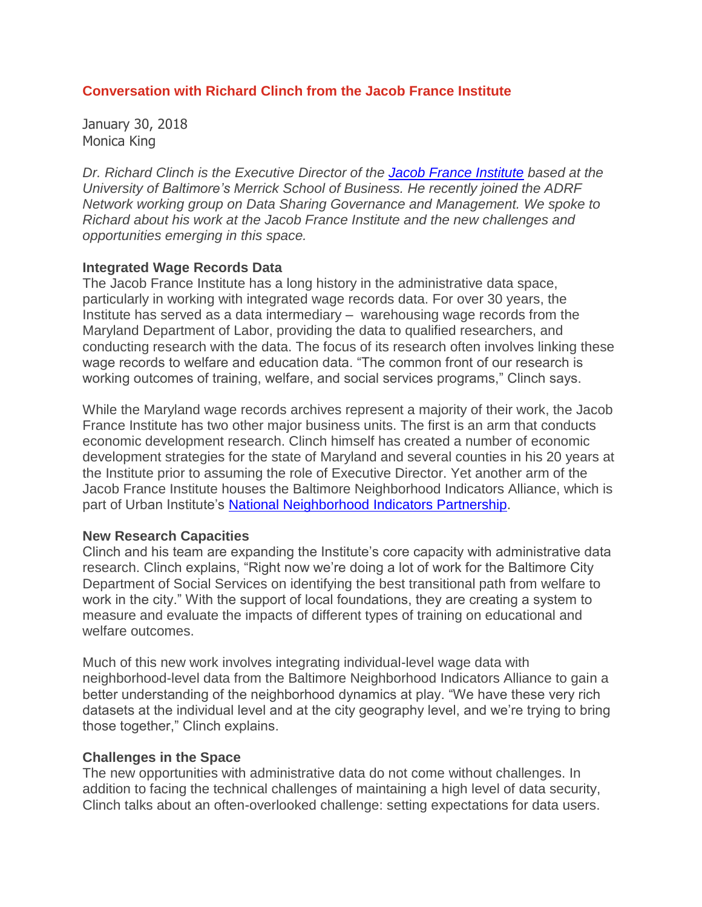### **Conversation with Richard Clinch from the Jacob France Institute**

January 30, 2018 Monica King

*Dr. Richard Clinch is the Executive Director of the Jacob France [Institute](http://www.jacob-france-institute.org/) based at the University of Baltimore's Merrick School of Business. He recently joined the ADRF Network working group on Data Sharing Governance and Management. We spoke to Richard about his work at the Jacob France Institute and the new challenges and opportunities emerging in this space.*

#### **Integrated Wage Records Data**

The Jacob France Institute has a long history in the administrative data space, particularly in working with integrated wage records data. For over 30 years, the Institute has served as a data intermediary – warehousing wage records from the Maryland Department of Labor, providing the data to qualified researchers, and conducting research with the data. The focus of its research often involves linking these wage records to welfare and education data. "The common front of our research is working outcomes of training, welfare, and social services programs," Clinch says.

While the Maryland wage records archives represent a majority of their work, the Jacob France Institute has two other major business units. The first is an arm that conducts economic development research. Clinch himself has created a number of economic development strategies for the state of Maryland and several counties in his 20 years at the Institute prior to assuming the role of Executive Director. Yet another arm of the Jacob France Institute houses the Baltimore Neighborhood Indicators Alliance, which is part of Urban Institute's National [Neighborhood](https://www.neighborhoodindicators.org/) Indicators Partnership.

#### **New Research Capacities**

Clinch and his team are expanding the Institute's core capacity with administrative data research. Clinch explains, "Right now we're doing a lot of work for the Baltimore City Department of Social Services on identifying the best transitional path from welfare to work in the city." With the support of local foundations, they are creating a system to measure and evaluate the impacts of different types of training on educational and welfare outcomes.

Much of this new work involves integrating individual-level wage data with neighborhood-level data from the Baltimore Neighborhood Indicators Alliance to gain a better understanding of the neighborhood dynamics at play. "We have these very rich datasets at the individual level and at the city geography level, and we're trying to bring those together," Clinch explains.

#### **Challenges in the Space**

The new opportunities with administrative data do not come without challenges. In addition to facing the technical challenges of maintaining a high level of data security, Clinch talks about an often-overlooked challenge: setting expectations for data users.